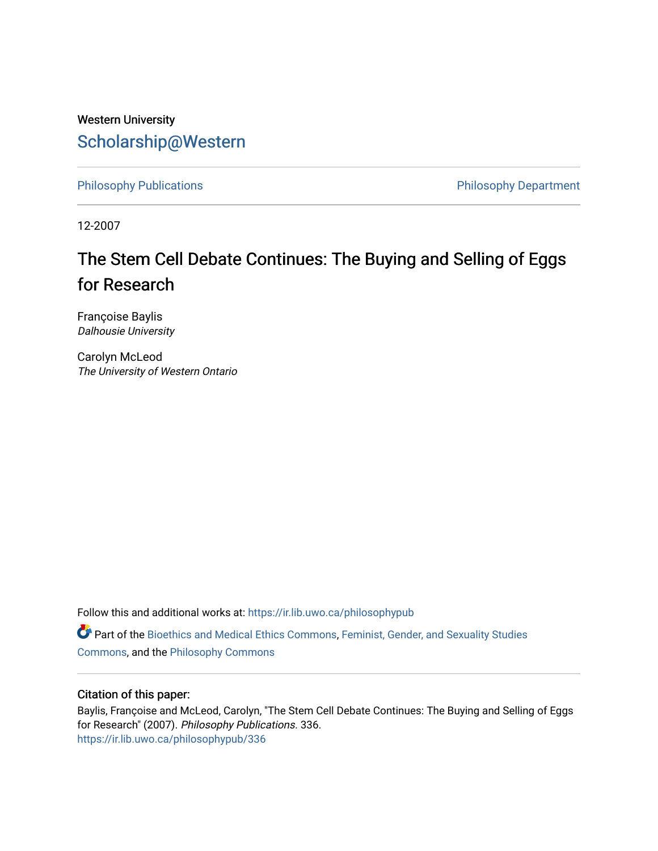## Western University [Scholarship@Western](https://ir.lib.uwo.ca/)

[Philosophy Publications](https://ir.lib.uwo.ca/philosophypub) **Philosophy Publications** Philosophy Department

12-2007

# The Stem Cell Debate Continues: The Buying and Selling of Eggs for Research

Françoise Baylis Dalhousie University

Carolyn McLeod The University of Western Ontario

Follow this and additional works at: [https://ir.lib.uwo.ca/philosophypub](https://ir.lib.uwo.ca/philosophypub?utm_source=ir.lib.uwo.ca%2Fphilosophypub%2F336&utm_medium=PDF&utm_campaign=PDFCoverPages)

Part of the [Bioethics and Medical Ethics Commons,](http://network.bepress.com/hgg/discipline/650?utm_source=ir.lib.uwo.ca%2Fphilosophypub%2F336&utm_medium=PDF&utm_campaign=PDFCoverPages) [Feminist, Gender, and Sexuality Studies](http://network.bepress.com/hgg/discipline/559?utm_source=ir.lib.uwo.ca%2Fphilosophypub%2F336&utm_medium=PDF&utm_campaign=PDFCoverPages) [Commons](http://network.bepress.com/hgg/discipline/559?utm_source=ir.lib.uwo.ca%2Fphilosophypub%2F336&utm_medium=PDF&utm_campaign=PDFCoverPages), and the [Philosophy Commons](http://network.bepress.com/hgg/discipline/525?utm_source=ir.lib.uwo.ca%2Fphilosophypub%2F336&utm_medium=PDF&utm_campaign=PDFCoverPages) 

#### Citation of this paper:

Baylis, Françoise and McLeod, Carolyn, "The Stem Cell Debate Continues: The Buying and Selling of Eggs for Research" (2007). Philosophy Publications. 336. [https://ir.lib.uwo.ca/philosophypub/336](https://ir.lib.uwo.ca/philosophypub/336?utm_source=ir.lib.uwo.ca%2Fphilosophypub%2F336&utm_medium=PDF&utm_campaign=PDFCoverPages)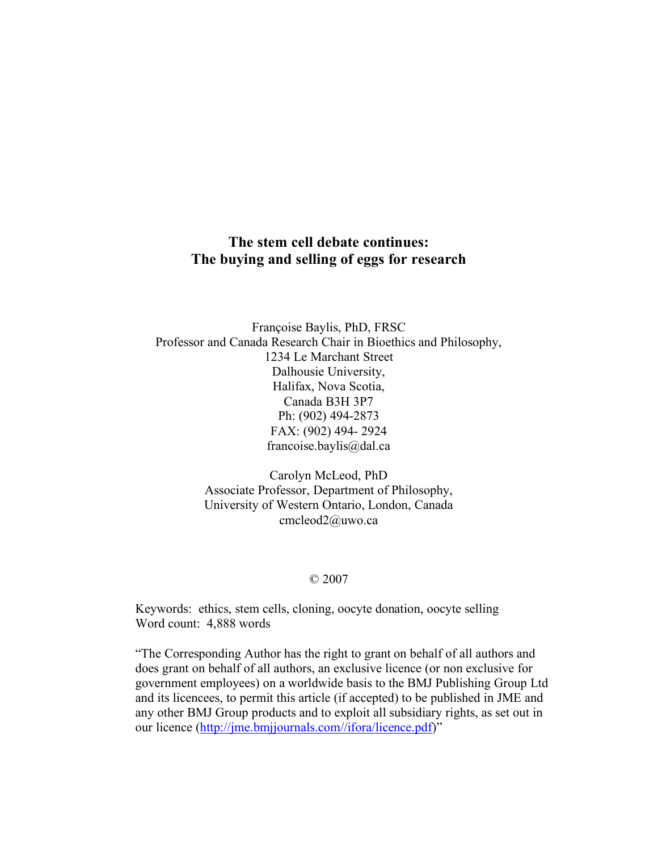### **The stem cell debate continues: The buying and selling of eggs for research**

Françoise Baylis, PhD, FRSC Professor and Canada Research Chair in Bioethics and Philosophy, 1234 Le Marchant Street Dalhousie University, Halifax, Nova Scotia, Canada B3H 3P7 Ph: (902) 494-2873 FAX: (902) 494- 2924 francoise.baylis@dal.ca

> Carolyn McLeod, PhD Associate Professor, Department of Philosophy, University of Western Ontario, London, Canada cmcleod2@uwo.ca

#### © 2007

Keywords: ethics, stem cells, cloning, oocyte donation, oocyte selling Word count: 4,888 words

"The Corresponding Author has the right to grant on behalf of all authors and does grant on behalf of all authors, an exclusive licence (or non exclusive for government employees) on a worldwide basis to the BMJ Publishing Group Ltd and its licencees, to permit this article (if accepted) to be published in JME and any other BMJ Group products and to exploit all subsidiary rights, as set out in our licence (http://jme.bmjjournals.com//ifora/licence.pdf)"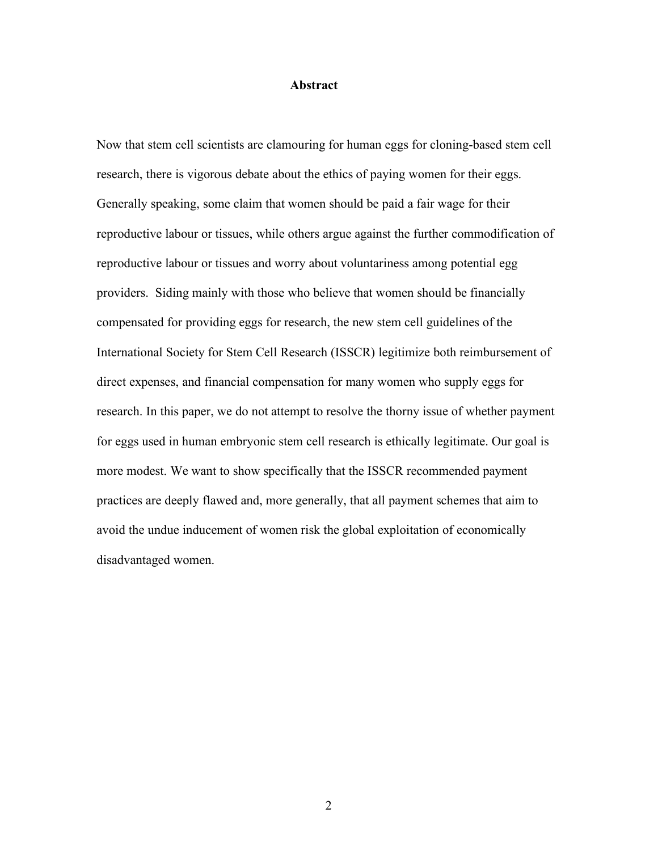#### **Abstract**

Now that stem cell scientists are clamouring for human eggs for cloning-based stem cell research, there is vigorous debate about the ethics of paying women for their eggs. Generally speaking, some claim that women should be paid a fair wage for their reproductive labour or tissues, while others argue against the further commodification of reproductive labour or tissues and worry about voluntariness among potential egg providers. Siding mainly with those who believe that women should be financially compensated for providing eggs for research, the new stem cell guidelines of the International Society for Stem Cell Research (ISSCR) legitimize both reimbursement of direct expenses, and financial compensation for many women who supply eggs for research. In this paper, we do not attempt to resolve the thorny issue of whether payment for eggs used in human embryonic stem cell research is ethically legitimate. Our goal is more modest. We want to show specifically that the ISSCR recommended payment practices are deeply flawed and, more generally, that all payment schemes that aim to avoid the undue inducement of women risk the global exploitation of economically disadvantaged women.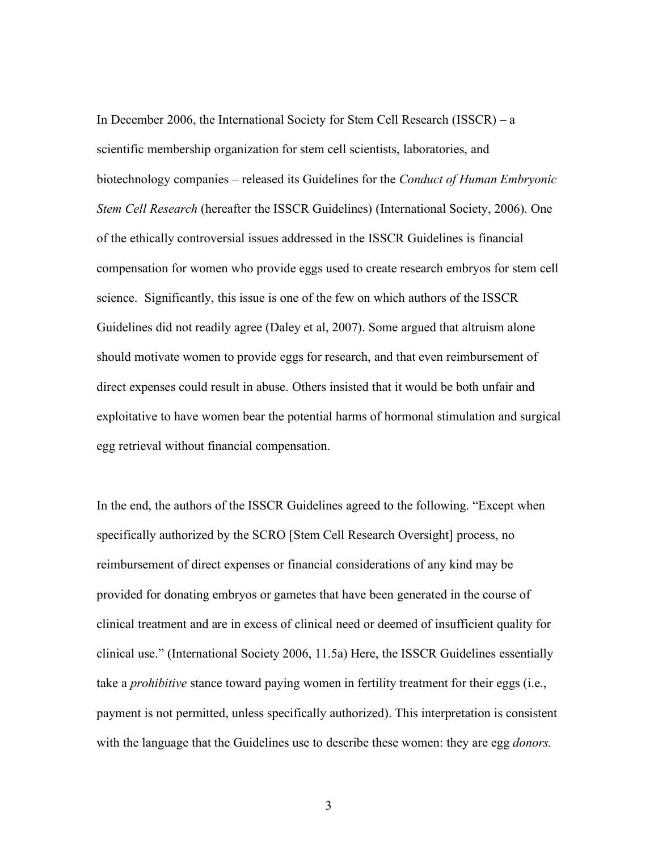In December 2006, the International Society for Stem Cell Research (ISSCR) – a scientific membership organization for stem cell scientists, laboratories, and biotechnology companies – released its Guidelines for the *Conduct of Human Embryonic Stem Cell Research* (hereafter the ISSCR Guidelines) (International Society, 2006). One of the ethically controversial issues addressed in the ISSCR Guidelines is financial compensation for women who provide eggs used to create research embryos for stem cell science. Significantly, this issue is one of the few on which authors of the ISSCR Guidelines did not readily agree (Daley et al, 2007). Some argued that altruism alone should motivate women to provide eggs for research, and that even reimbursement of direct expenses could result in abuse. Others insisted that it would be both unfair and exploitative to have women bear the potential harms of hormonal stimulation and surgical egg retrieval without financial compensation.

In the end, the authors of the ISSCR Guidelines agreed to the following. "Except when specifically authorized by the SCRO [Stem Cell Research Oversight] process, no reimbursement of direct expenses or financial considerations of any kind may be provided for donating embryos or gametes that have been generated in the course of clinical treatment and are in excess of clinical need or deemed of insufficient quality for clinical use." (International Society 2006, 11.5a) Here, the ISSCR Guidelines essentially take a *prohibitive* stance toward paying women in fertility treatment for their eggs (i.e., payment is not permitted, unless specifically authorized). This interpretation is consistent with the language that the Guidelines use to describe these women: they are egg *donors.*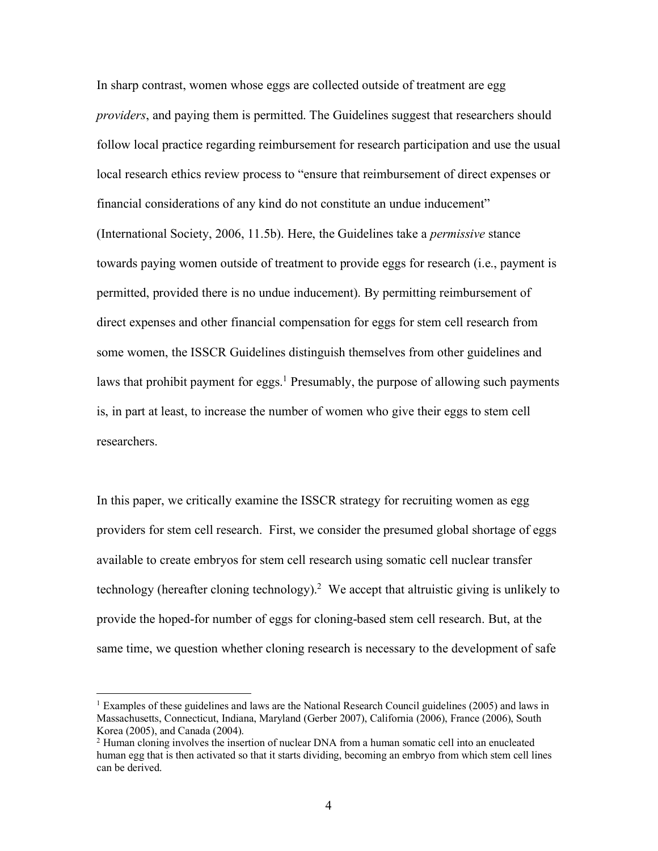In sharp contrast, women whose eggs are collected outside of treatment are egg *providers*, and paying them is permitted. The Guidelines suggest that researchers should follow local practice regarding reimbursement for research participation and use the usual local research ethics review process to "ensure that reimbursement of direct expenses or financial considerations of any kind do not constitute an undue inducement" (International Society, 2006, 11.5b). Here, the Guidelines take a *permissive* stance towards paying women outside of treatment to provide eggs for research (i.e., payment is permitted, provided there is no undue inducement). By permitting reimbursement of direct expenses and other financial compensation for eggs for stem cell research from some women, the ISSCR Guidelines distinguish themselves from other guidelines and laws that prohibit payment for eggs.<sup>1</sup> Presumably, the purpose of allowing such payments is, in part at least, to increase the number of women who give their eggs to stem cell researchers.

In this paper, we critically examine the ISSCR strategy for recruiting women as egg providers for stem cell research. First, we consider the presumed global shortage of eggs available to create embryos for stem cell research using somatic cell nuclear transfer technology (hereafter cloning technology). <sup>2</sup> We accept that altruistic giving is unlikely to provide the hoped-for number of eggs for cloning-based stem cell research. But, at the same time, we question whether cloning research is necessary to the development of safe

<sup>&</sup>lt;sup>1</sup> Examples of these guidelines and laws are the National Research Council guidelines (2005) and laws in Massachusetts, Connecticut, Indiana, Maryland (Gerber 2007), California (2006), France (2006), South Korea (2005), and Canada (2004).

<sup>&</sup>lt;sup>2</sup> Human cloning involves the insertion of nuclear DNA from a human somatic cell into an enucleated human egg that is then activated so that it starts dividing, becoming an embryo from which stem cell lines can be derived.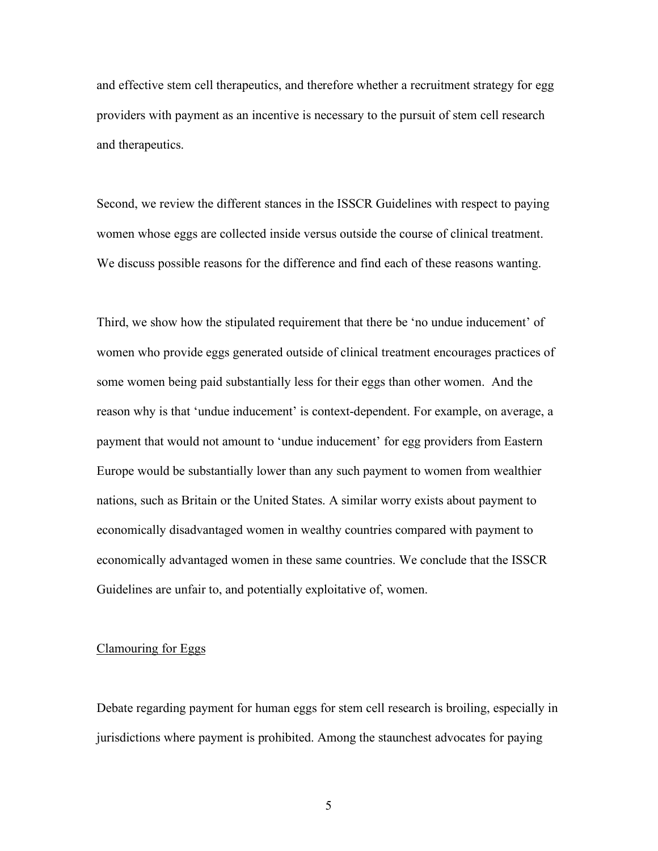and effective stem cell therapeutics, and therefore whether a recruitment strategy for egg providers with payment as an incentive is necessary to the pursuit of stem cell research and therapeutics.

Second, we review the different stances in the ISSCR Guidelines with respect to paying women whose eggs are collected inside versus outside the course of clinical treatment. We discuss possible reasons for the difference and find each of these reasons wanting.

Third, we show how the stipulated requirement that there be 'no undue inducement' of women who provide eggs generated outside of clinical treatment encourages practices of some women being paid substantially less for their eggs than other women. And the reason why is that 'undue inducement' is context-dependent. For example, on average, a payment that would not amount to 'undue inducement' for egg providers from Eastern Europe would be substantially lower than any such payment to women from wealthier nations, such as Britain or the United States. A similar worry exists about payment to economically disadvantaged women in wealthy countries compared with payment to economically advantaged women in these same countries. We conclude that the ISSCR Guidelines are unfair to, and potentially exploitative of, women.

#### Clamouring for Eggs

Debate regarding payment for human eggs for stem cell research is broiling, especially in jurisdictions where payment is prohibited. Among the staunchest advocates for paying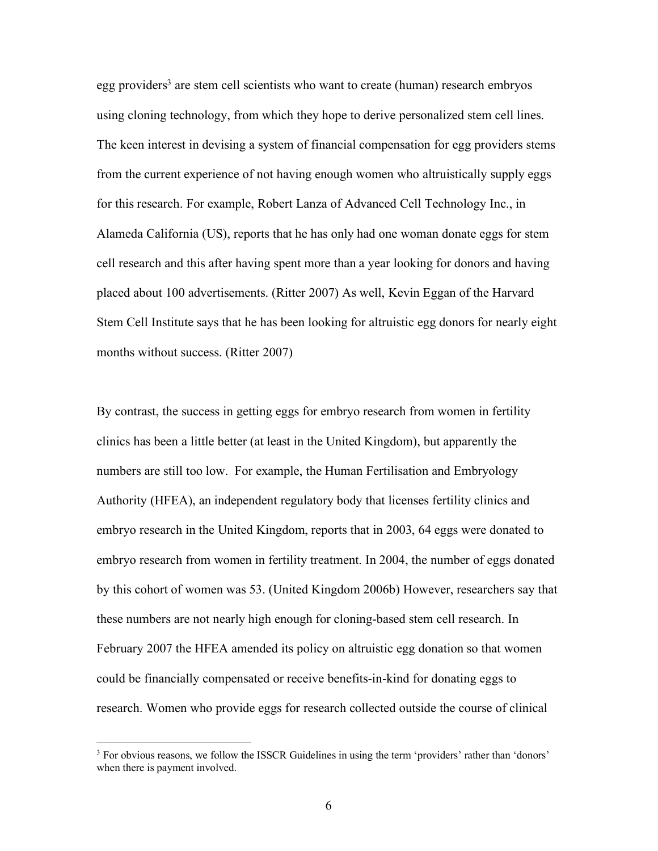egg providers<sup>3</sup> are stem cell scientists who want to create (human) research embryos using cloning technology, from which they hope to derive personalized stem cell lines. The keen interest in devising a system of financial compensation for egg providers stems from the current experience of not having enough women who altruistically supply eggs for this research. For example, Robert Lanza of Advanced Cell Technology Inc., in Alameda California (US), reports that he has only had one woman donate eggs for stem cell research and this after having spent more than a year looking for donors and having placed about 100 advertisements. (Ritter 2007) As well, Kevin Eggan of the Harvard Stem Cell Institute says that he has been looking for altruistic egg donors for nearly eight months without success. (Ritter 2007)

By contrast, the success in getting eggs for embryo research from women in fertility clinics has been a little better (at least in the United Kingdom), but apparently the numbers are still too low. For example, the Human Fertilisation and Embryology Authority (HFEA), an independent regulatory body that licenses fertility clinics and embryo research in the United Kingdom, reports that in 2003, 64 eggs were donated to embryo research from women in fertility treatment. In 2004, the number of eggs donated by this cohort of women was 53. (United Kingdom 2006b) However, researchers say that these numbers are not nearly high enough for cloning-based stem cell research. In February 2007 the HFEA amended its policy on altruistic egg donation so that women could be financially compensated or receive benefits-in-kind for donating eggs to research. Women who provide eggs for research collected outside the course of clinical

<sup>&</sup>lt;sup>3</sup> For obvious reasons, we follow the ISSCR Guidelines in using the term 'providers' rather than 'donors' when there is payment involved.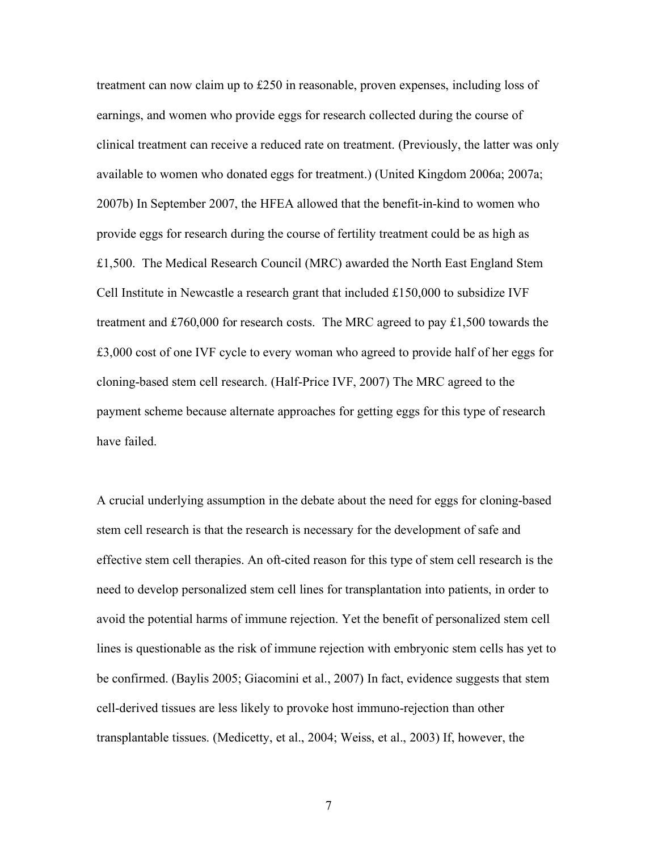treatment can now claim up to £250 in reasonable, proven expenses, including loss of earnings, and women who provide eggs for research collected during the course of clinical treatment can receive a reduced rate on treatment. (Previously, the latter was only available to women who donated eggs for treatment.) (United Kingdom 2006a; 2007a; 2007b) In September 2007, the HFEA allowed that the benefit-in-kind to women who provide eggs for research during the course of fertility treatment could be as high as £1,500. The Medical Research Council (MRC) awarded the North East England Stem Cell Institute in Newcastle a research grant that included  $£150,000$  to subsidize IVF treatment and £760,000 for research costs. The MRC agreed to pay £1,500 towards the £3,000 cost of one IVF cycle to every woman who agreed to provide half of her eggs for cloning-based stem cell research. (Half-Price IVF, 2007) The MRC agreed to the payment scheme because alternate approaches for getting eggs for this type of research have failed.

A crucial underlying assumption in the debate about the need for eggs for cloning-based stem cell research is that the research is necessary for the development of safe and effective stem cell therapies. An oft-cited reason for this type of stem cell research is the need to develop personalized stem cell lines for transplantation into patients, in order to avoid the potential harms of immune rejection. Yet the benefit of personalized stem cell lines is questionable as the risk of immune rejection with embryonic stem cells has yet to be confirmed. (Baylis 2005; Giacomini et al., 2007) In fact, evidence suggests that stem cell-derived tissues are less likely to provoke host immuno-rejection than other transplantable tissues. (Medicetty, et al., 2004; Weiss, et al., 2003) If, however, the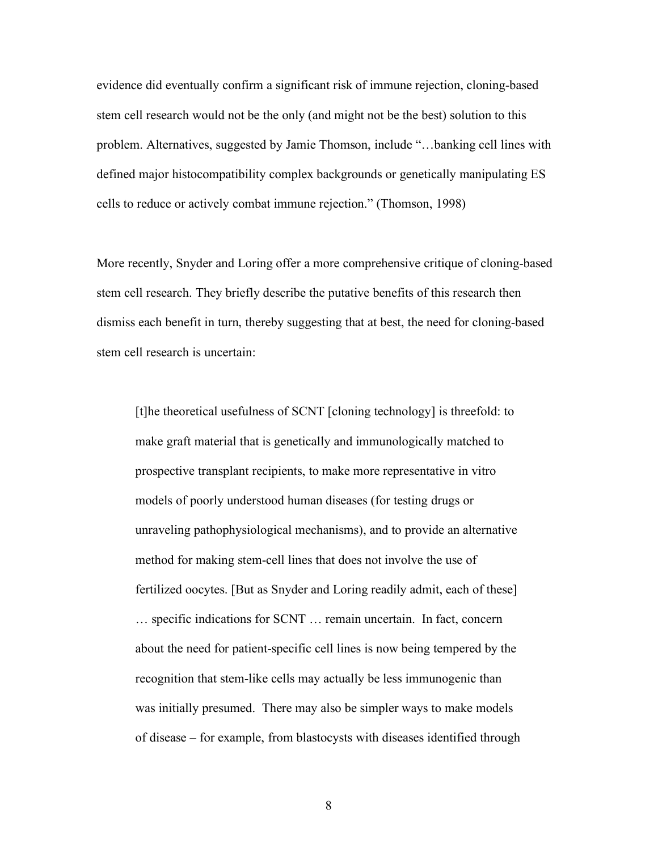evidence did eventually confirm a significant risk of immune rejection, cloning-based stem cell research would not be the only (and might not be the best) solution to this problem. Alternatives, suggested by Jamie Thomson, include "…banking cell lines with defined major histocompatibility complex backgrounds or genetically manipulating ES cells to reduce or actively combat immune rejection." (Thomson, 1998)

More recently, Snyder and Loring offer a more comprehensive critique of cloning-based stem cell research. They briefly describe the putative benefits of this research then dismiss each benefit in turn, thereby suggesting that at best, the need for cloning-based stem cell research is uncertain:

[t]he theoretical usefulness of SCNT [cloning technology] is threefold: to make graft material that is genetically and immunologically matched to prospective transplant recipients, to make more representative in vitro models of poorly understood human diseases (for testing drugs or unraveling pathophysiological mechanisms), and to provide an alternative method for making stem-cell lines that does not involve the use of fertilized oocytes. [But as Snyder and Loring readily admit, each of these] … specific indications for SCNT … remain uncertain. In fact, concern about the need for patient-specific cell lines is now being tempered by the recognition that stem-like cells may actually be less immunogenic than was initially presumed. There may also be simpler ways to make models of disease – for example, from blastocysts with diseases identified through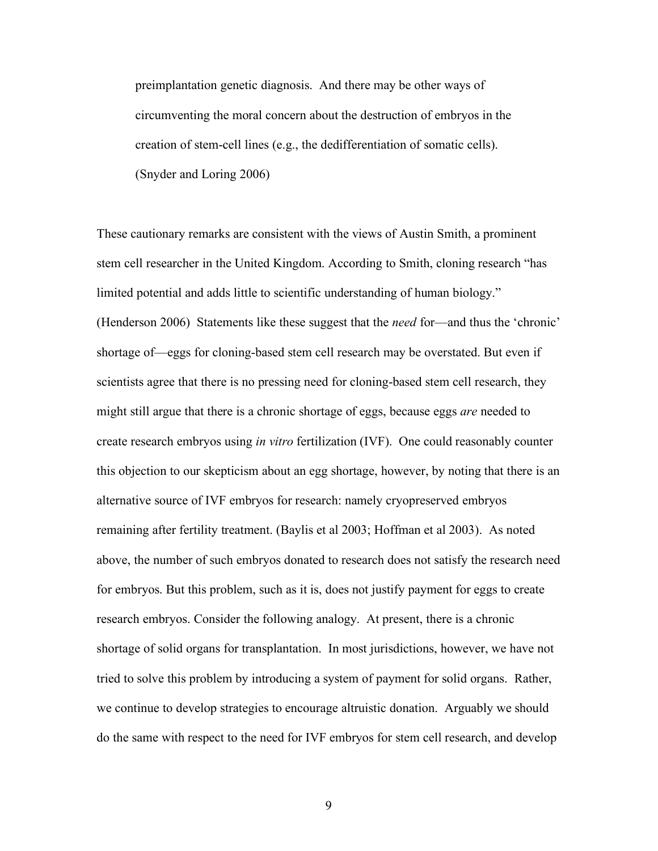preimplantation genetic diagnosis. And there may be other ways of circumventing the moral concern about the destruction of embryos in the creation of stem-cell lines (e.g., the dedifferentiation of somatic cells). (Snyder and Loring 2006)

These cautionary remarks are consistent with the views of Austin Smith, a prominent stem cell researcher in the United Kingdom. According to Smith, cloning research "has limited potential and adds little to scientific understanding of human biology." (Henderson 2006) Statements like these suggest that the *need* for—and thus the 'chronic' shortage of—eggs for cloning-based stem cell research may be overstated. But even if scientists agree that there is no pressing need for cloning-based stem cell research, they might still argue that there is a chronic shortage of eggs, because eggs *are* needed to create research embryos using *in vitro* fertilization (IVF). One could reasonably counter this objection to our skepticism about an egg shortage, however, by noting that there is an alternative source of IVF embryos for research: namely cryopreserved embryos remaining after fertility treatment. (Baylis et al 2003; Hoffman et al 2003). As noted above, the number of such embryos donated to research does not satisfy the research need for embryos. But this problem, such as it is, does not justify payment for eggs to create research embryos. Consider the following analogy. At present, there is a chronic shortage of solid organs for transplantation. In most jurisdictions, however, we have not tried to solve this problem by introducing a system of payment for solid organs. Rather, we continue to develop strategies to encourage altruistic donation. Arguably we should do the same with respect to the need for IVF embryos for stem cell research, and develop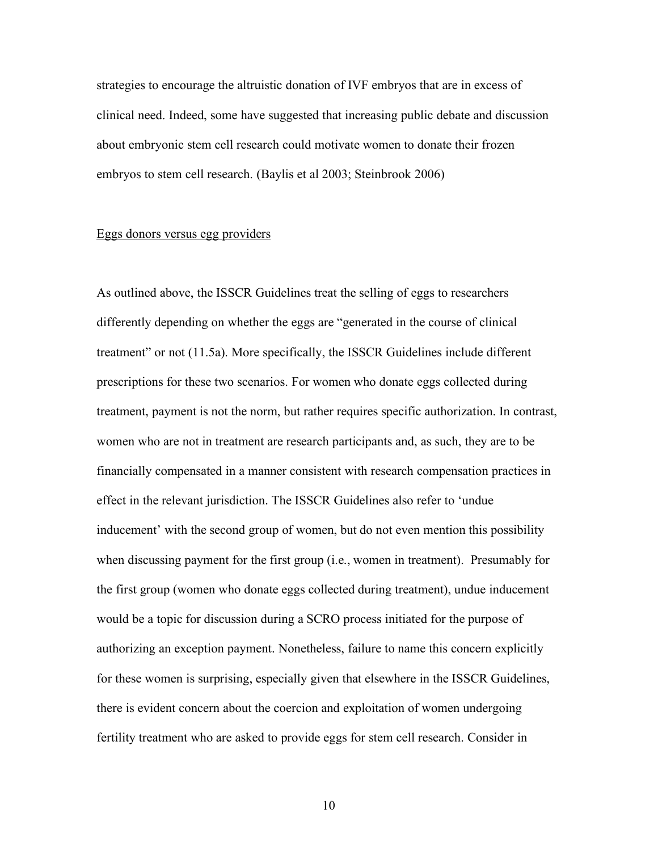strategies to encourage the altruistic donation of IVF embryos that are in excess of clinical need. Indeed, some have suggested that increasing public debate and discussion about embryonic stem cell research could motivate women to donate their frozen embryos to stem cell research. (Baylis et al 2003; Steinbrook 2006)

#### Eggs donors versus egg providers

As outlined above, the ISSCR Guidelines treat the selling of eggs to researchers differently depending on whether the eggs are "generated in the course of clinical treatment" or not (11.5a). More specifically, the ISSCR Guidelines include different prescriptions for these two scenarios. For women who donate eggs collected during treatment, payment is not the norm, but rather requires specific authorization. In contrast, women who are not in treatment are research participants and, as such, they are to be financially compensated in a manner consistent with research compensation practices in effect in the relevant jurisdiction. The ISSCR Guidelines also refer to 'undue inducement' with the second group of women, but do not even mention this possibility when discussing payment for the first group (i.e., women in treatment). Presumably for the first group (women who donate eggs collected during treatment), undue inducement would be a topic for discussion during a SCRO process initiated for the purpose of authorizing an exception payment. Nonetheless, failure to name this concern explicitly for these women is surprising, especially given that elsewhere in the ISSCR Guidelines, there is evident concern about the coercion and exploitation of women undergoing fertility treatment who are asked to provide eggs for stem cell research. Consider in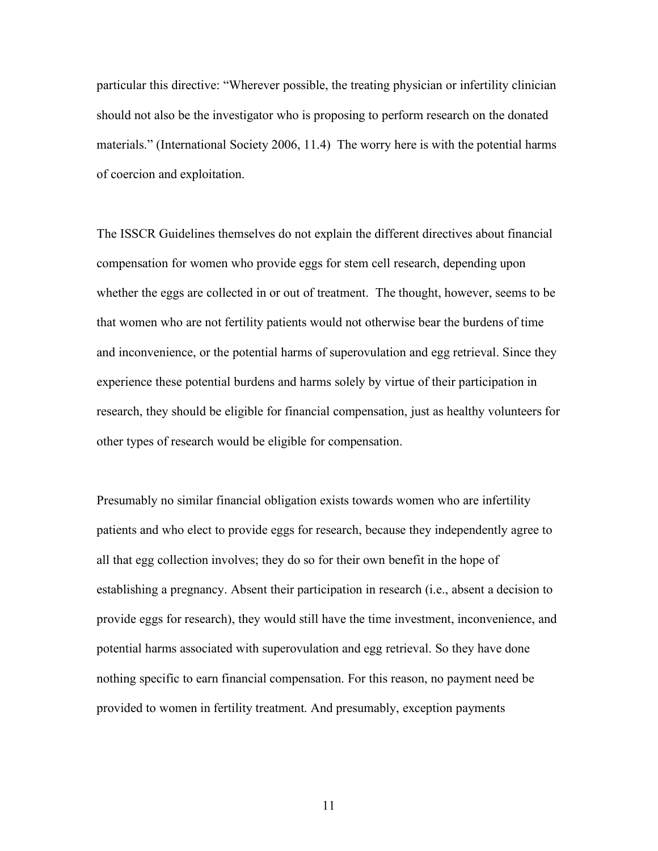particular this directive: "Wherever possible, the treating physician or infertility clinician should not also be the investigator who is proposing to perform research on the donated materials." (International Society 2006, 11.4) The worry here is with the potential harms of coercion and exploitation.

The ISSCR Guidelines themselves do not explain the different directives about financial compensation for women who provide eggs for stem cell research, depending upon whether the eggs are collected in or out of treatment. The thought, however, seems to be that women who are not fertility patients would not otherwise bear the burdens of time and inconvenience, or the potential harms of superovulation and egg retrieval. Since they experience these potential burdens and harms solely by virtue of their participation in research, they should be eligible for financial compensation, just as healthy volunteers for other types of research would be eligible for compensation.

Presumably no similar financial obligation exists towards women who are infertility patients and who elect to provide eggs for research, because they independently agree to all that egg collection involves; they do so for their own benefit in the hope of establishing a pregnancy. Absent their participation in research (i.e., absent a decision to provide eggs for research), they would still have the time investment, inconvenience, and potential harms associated with superovulation and egg retrieval. So they have done nothing specific to earn financial compensation. For this reason, no payment need be provided to women in fertility treatment. And presumably, exception payments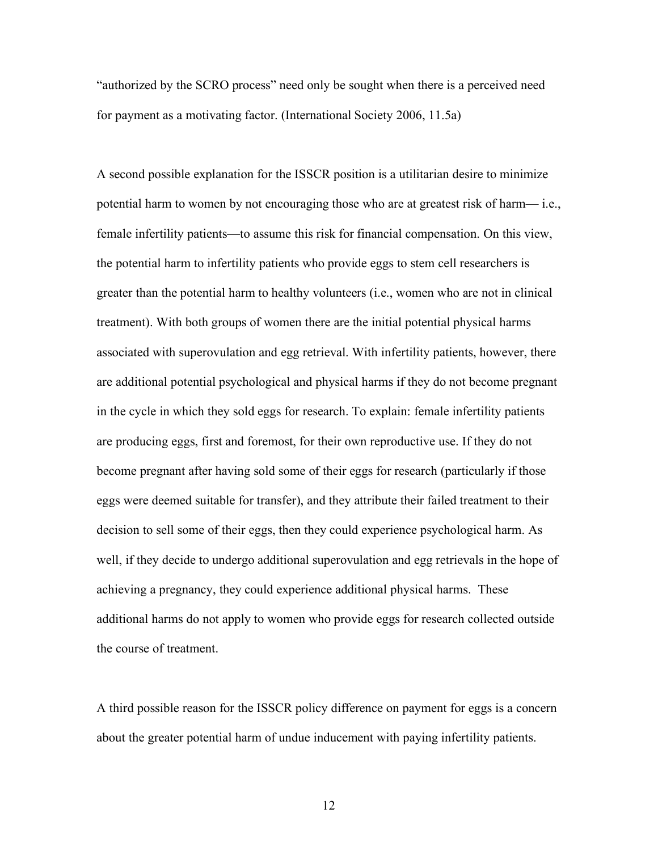"authorized by the SCRO process" need only be sought when there is a perceived need for payment as a motivating factor. (International Society 2006, 11.5a)

A second possible explanation for the ISSCR position is a utilitarian desire to minimize potential harm to women by not encouraging those who are at greatest risk of harm— i.e., female infertility patients—to assume this risk for financial compensation. On this view, the potential harm to infertility patients who provide eggs to stem cell researchers is greater than the potential harm to healthy volunteers (i.e., women who are not in clinical treatment). With both groups of women there are the initial potential physical harms associated with superovulation and egg retrieval. With infertility patients, however, there are additional potential psychological and physical harms if they do not become pregnant in the cycle in which they sold eggs for research. To explain: female infertility patients are producing eggs, first and foremost, for their own reproductive use. If they do not become pregnant after having sold some of their eggs for research (particularly if those eggs were deemed suitable for transfer), and they attribute their failed treatment to their decision to sell some of their eggs, then they could experience psychological harm. As well, if they decide to undergo additional superovulation and egg retrievals in the hope of achieving a pregnancy, they could experience additional physical harms. These additional harms do not apply to women who provide eggs for research collected outside the course of treatment.

A third possible reason for the ISSCR policy difference on payment for eggs is a concern about the greater potential harm of undue inducement with paying infertility patients.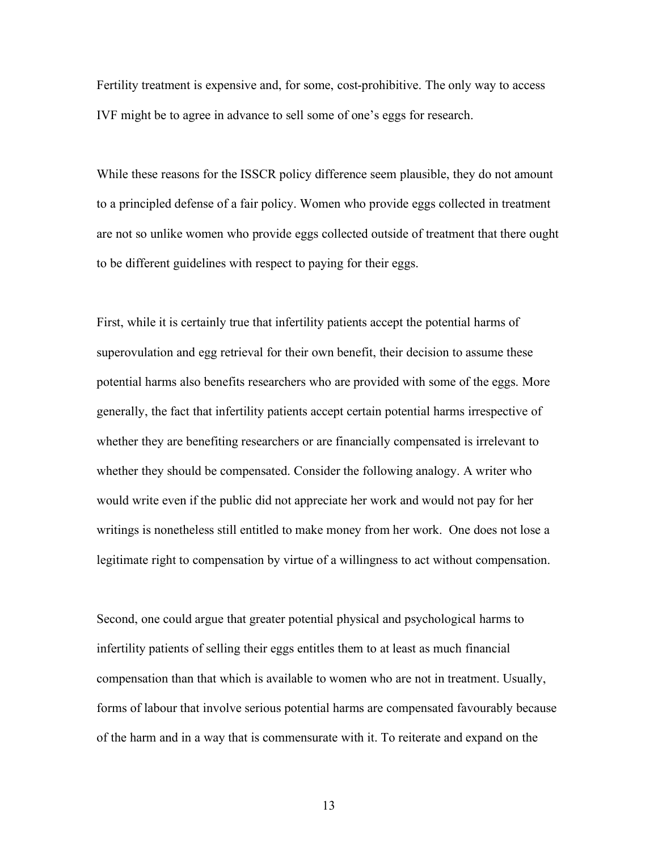Fertility treatment is expensive and, for some, cost-prohibitive. The only way to access IVF might be to agree in advance to sell some of one's eggs for research.

While these reasons for the ISSCR policy difference seem plausible, they do not amount to a principled defense of a fair policy. Women who provide eggs collected in treatment are not so unlike women who provide eggs collected outside of treatment that there ought to be different guidelines with respect to paying for their eggs.

First, while it is certainly true that infertility patients accept the potential harms of superovulation and egg retrieval for their own benefit, their decision to assume these potential harms also benefits researchers who are provided with some of the eggs. More generally, the fact that infertility patients accept certain potential harms irrespective of whether they are benefiting researchers or are financially compensated is irrelevant to whether they should be compensated. Consider the following analogy. A writer who would write even if the public did not appreciate her work and would not pay for her writings is nonetheless still entitled to make money from her work. One does not lose a legitimate right to compensation by virtue of a willingness to act without compensation.

Second, one could argue that greater potential physical and psychological harms to infertility patients of selling their eggs entitles them to at least as much financial compensation than that which is available to women who are not in treatment. Usually, forms of labour that involve serious potential harms are compensated favourably because of the harm and in a way that is commensurate with it. To reiterate and expand on the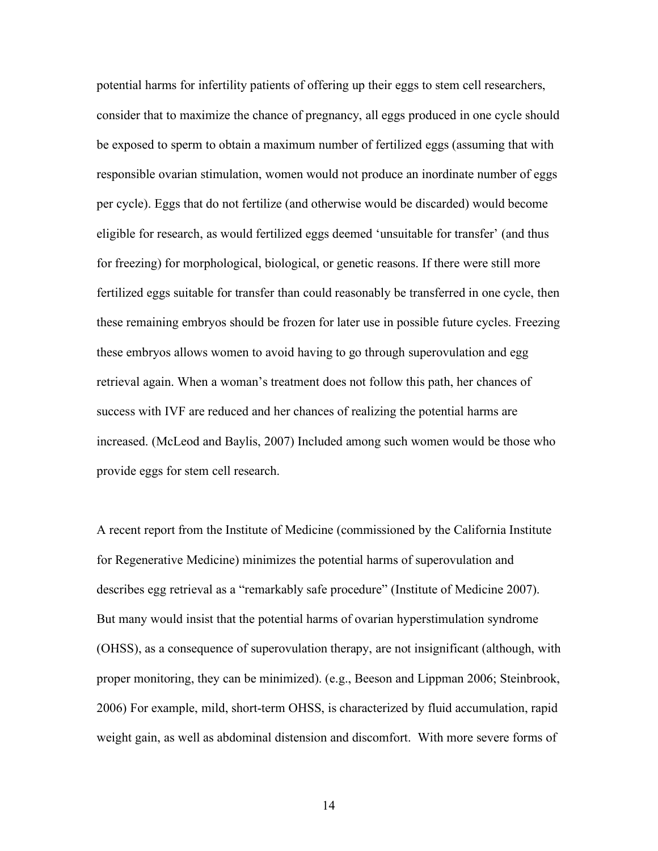potential harms for infertility patients of offering up their eggs to stem cell researchers, consider that to maximize the chance of pregnancy, all eggs produced in one cycle should be exposed to sperm to obtain a maximum number of fertilized eggs (assuming that with responsible ovarian stimulation, women would not produce an inordinate number of eggs per cycle). Eggs that do not fertilize (and otherwise would be discarded) would become eligible for research, as would fertilized eggs deemed 'unsuitable for transfer' (and thus for freezing) for morphological, biological, or genetic reasons. If there were still more fertilized eggs suitable for transfer than could reasonably be transferred in one cycle, then these remaining embryos should be frozen for later use in possible future cycles. Freezing these embryos allows women to avoid having to go through superovulation and egg retrieval again. When a woman's treatment does not follow this path, her chances of success with IVF are reduced and her chances of realizing the potential harms are increased. (McLeod and Baylis, 2007) Included among such women would be those who provide eggs for stem cell research.

A recent report from the Institute of Medicine (commissioned by the California Institute for Regenerative Medicine) minimizes the potential harms of superovulation and describes egg retrieval as a "remarkably safe procedure" (Institute of Medicine 2007). But many would insist that the potential harms of ovarian hyperstimulation syndrome (OHSS), as a consequence of superovulation therapy, are not insignificant (although, with proper monitoring, they can be minimized). (e.g., Beeson and Lippman 2006; Steinbrook, 2006) For example, mild, short-term OHSS, is characterized by fluid accumulation, rapid weight gain, as well as abdominal distension and discomfort. With more severe forms of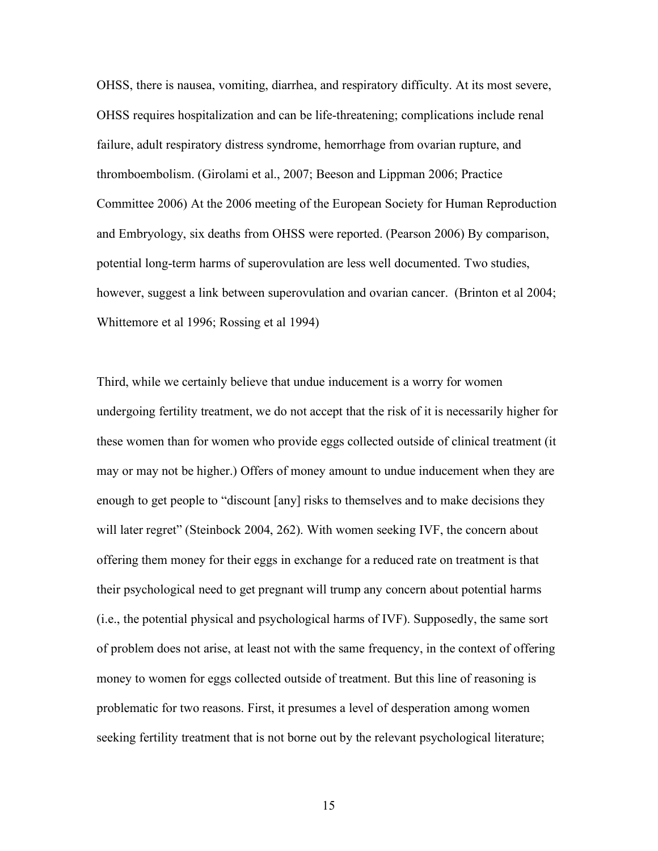OHSS, there is nausea, vomiting, diarrhea, and respiratory difficulty. At its most severe, OHSS requires hospitalization and can be life-threatening; complications include renal failure, adult respiratory distress syndrome, hemorrhage from ovarian rupture, and thromboembolism. (Girolami et al., 2007; Beeson and Lippman 2006; Practice Committee 2006) At the 2006 meeting of the European Society for Human Reproduction and Embryology, six deaths from OHSS were reported. (Pearson 2006) By comparison, potential long-term harms of superovulation are less well documented. Two studies, however, suggest a link between superovulation and ovarian cancer. (Brinton et al 2004; Whittemore et al 1996; Rossing et al 1994)

Third, while we certainly believe that undue inducement is a worry for women undergoing fertility treatment, we do not accept that the risk of it is necessarily higher for these women than for women who provide eggs collected outside of clinical treatment (it may or may not be higher.) Offers of money amount to undue inducement when they are enough to get people to "discount [any] risks to themselves and to make decisions they will later regret" (Steinbock 2004, 262). With women seeking IVF, the concern about offering them money for their eggs in exchange for a reduced rate on treatment is that their psychological need to get pregnant will trump any concern about potential harms (i.e., the potential physical and psychological harms of IVF). Supposedly, the same sort of problem does not arise, at least not with the same frequency, in the context of offering money to women for eggs collected outside of treatment. But this line of reasoning is problematic for two reasons. First, it presumes a level of desperation among women seeking fertility treatment that is not borne out by the relevant psychological literature;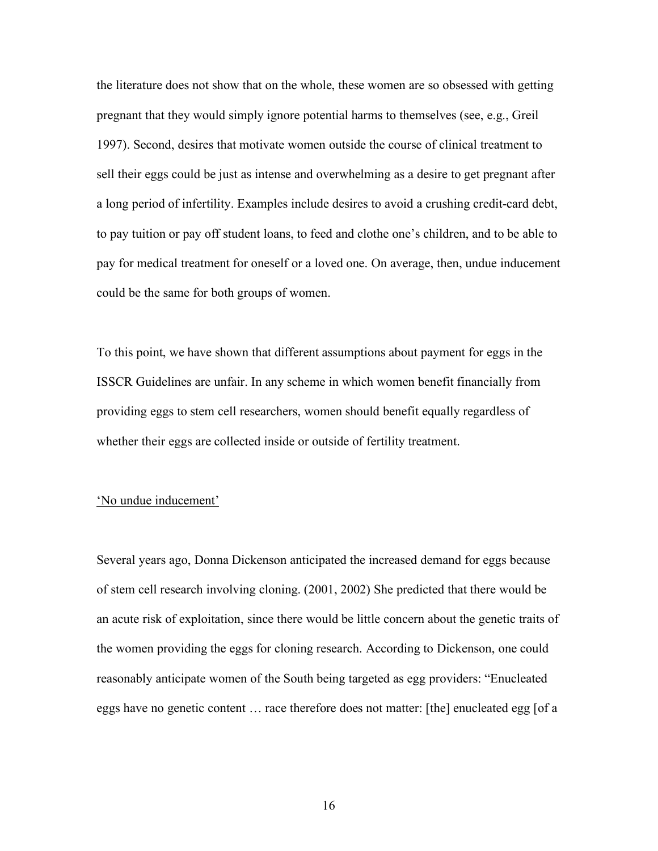the literature does not show that on the whole, these women are so obsessed with getting pregnant that they would simply ignore potential harms to themselves (see, e.g., Greil 1997). Second, desires that motivate women outside the course of clinical treatment to sell their eggs could be just as intense and overwhelming as a desire to get pregnant after a long period of infertility. Examples include desires to avoid a crushing credit-card debt, to pay tuition or pay off student loans, to feed and clothe one's children, and to be able to pay for medical treatment for oneself or a loved one. On average, then, undue inducement could be the same for both groups of women.

To this point, we have shown that different assumptions about payment for eggs in the ISSCR Guidelines are unfair. In any scheme in which women benefit financially from providing eggs to stem cell researchers, women should benefit equally regardless of whether their eggs are collected inside or outside of fertility treatment.

#### 'No undue inducement'

Several years ago, Donna Dickenson anticipated the increased demand for eggs because of stem cell research involving cloning. (2001, 2002) She predicted that there would be an acute risk of exploitation, since there would be little concern about the genetic traits of the women providing the eggs for cloning research. According to Dickenson, one could reasonably anticipate women of the South being targeted as egg providers: "Enucleated eggs have no genetic content … race therefore does not matter: [the] enucleated egg [of a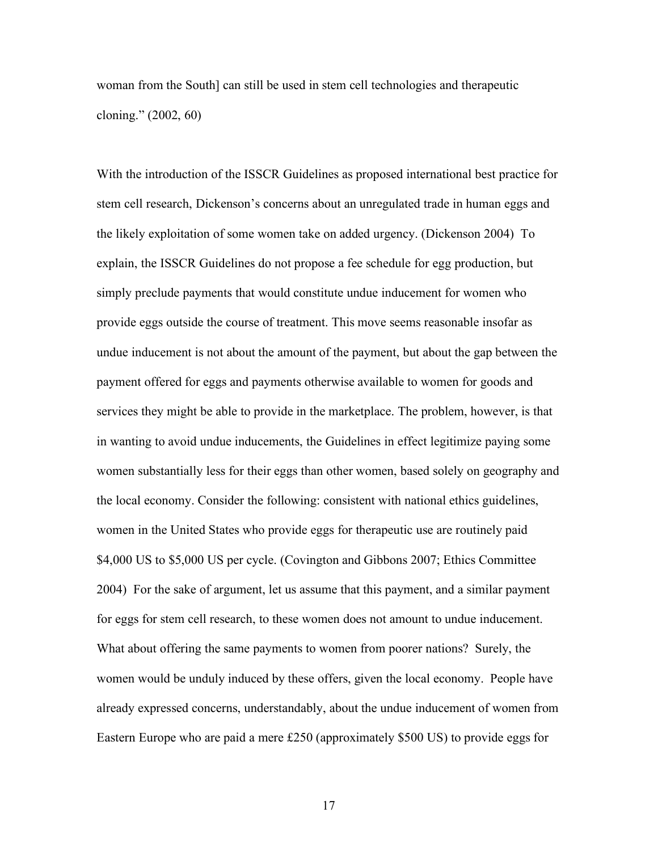woman from the South] can still be used in stem cell technologies and therapeutic cloning." (2002, 60)

With the introduction of the ISSCR Guidelines as proposed international best practice for stem cell research, Dickenson's concerns about an unregulated trade in human eggs and the likely exploitation of some women take on added urgency. (Dickenson 2004) To explain, the ISSCR Guidelines do not propose a fee schedule for egg production, but simply preclude payments that would constitute undue inducement for women who provide eggs outside the course of treatment. This move seems reasonable insofar as undue inducement is not about the amount of the payment, but about the gap between the payment offered for eggs and payments otherwise available to women for goods and services they might be able to provide in the marketplace. The problem, however, is that in wanting to avoid undue inducements, the Guidelines in effect legitimize paying some women substantially less for their eggs than other women, based solely on geography and the local economy. Consider the following: consistent with national ethics guidelines, women in the United States who provide eggs for therapeutic use are routinely paid \$4,000 US to \$5,000 US per cycle. (Covington and Gibbons 2007; Ethics Committee 2004) For the sake of argument, let us assume that this payment, and a similar payment for eggs for stem cell research, to these women does not amount to undue inducement. What about offering the same payments to women from poorer nations? Surely, the women would be unduly induced by these offers, given the local economy. People have already expressed concerns, understandably, about the undue inducement of women from Eastern Europe who are paid a mere £250 (approximately \$500 US) to provide eggs for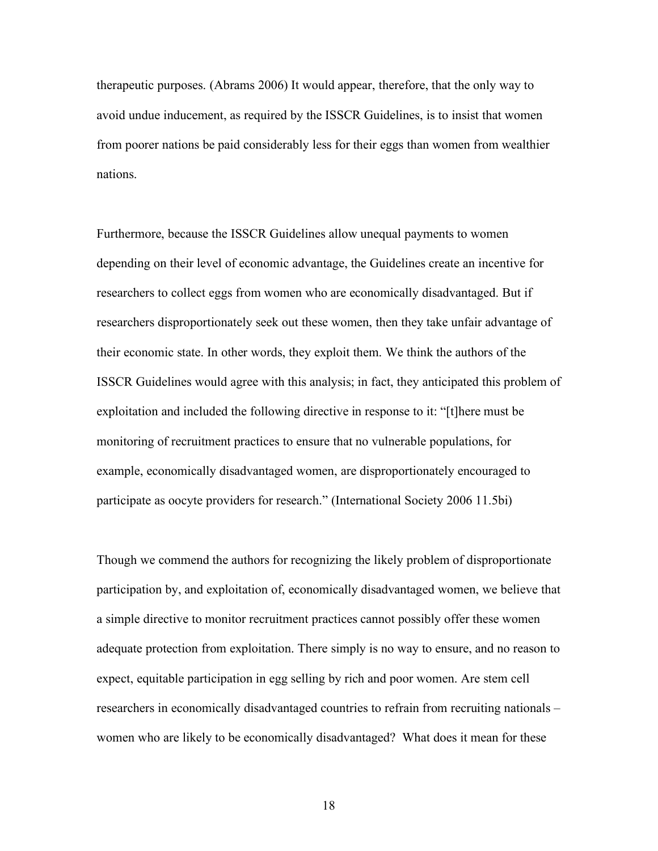therapeutic purposes. (Abrams 2006) It would appear, therefore, that the only way to avoid undue inducement, as required by the ISSCR Guidelines, is to insist that women from poorer nations be paid considerably less for their eggs than women from wealthier nations.

Furthermore, because the ISSCR Guidelines allow unequal payments to women depending on their level of economic advantage, the Guidelines create an incentive for researchers to collect eggs from women who are economically disadvantaged. But if researchers disproportionately seek out these women, then they take unfair advantage of their economic state. In other words, they exploit them. We think the authors of the ISSCR Guidelines would agree with this analysis; in fact, they anticipated this problem of exploitation and included the following directive in response to it: "[t]here must be monitoring of recruitment practices to ensure that no vulnerable populations, for example, economically disadvantaged women, are disproportionately encouraged to participate as oocyte providers for research." (International Society 2006 11.5bi)

Though we commend the authors for recognizing the likely problem of disproportionate participation by, and exploitation of, economically disadvantaged women, we believe that a simple directive to monitor recruitment practices cannot possibly offer these women adequate protection from exploitation. There simply is no way to ensure, and no reason to expect, equitable participation in egg selling by rich and poor women. Are stem cell researchers in economically disadvantaged countries to refrain from recruiting nationals – women who are likely to be economically disadvantaged? What does it mean for these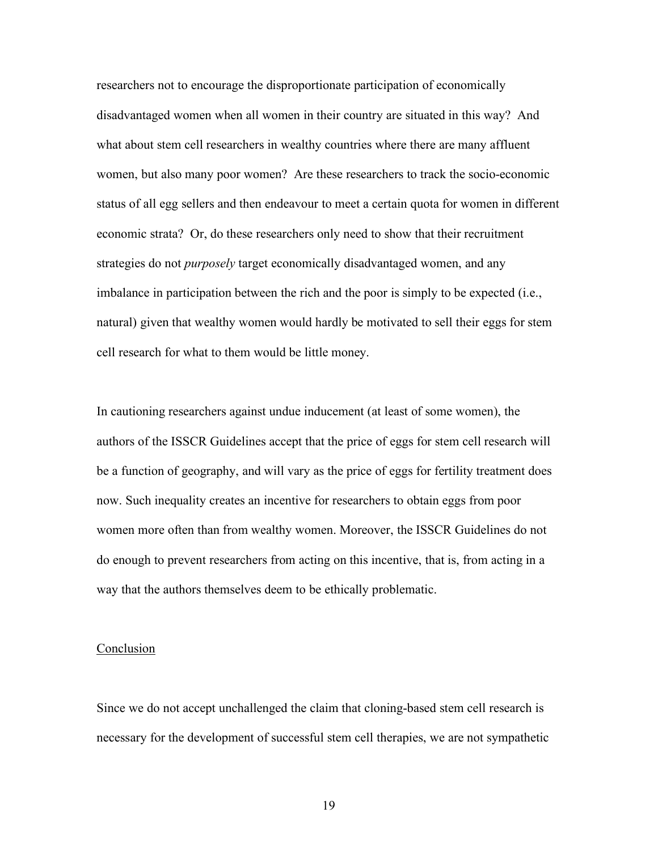researchers not to encourage the disproportionate participation of economically disadvantaged women when all women in their country are situated in this way? And what about stem cell researchers in wealthy countries where there are many affluent women, but also many poor women? Are these researchers to track the socio-economic status of all egg sellers and then endeavour to meet a certain quota for women in different economic strata? Or, do these researchers only need to show that their recruitment strategies do not *purposely* target economically disadvantaged women, and any imbalance in participation between the rich and the poor is simply to be expected (i.e., natural) given that wealthy women would hardly be motivated to sell their eggs for stem cell research for what to them would be little money.

In cautioning researchers against undue inducement (at least of some women), the authors of the ISSCR Guidelines accept that the price of eggs for stem cell research will be a function of geography, and will vary as the price of eggs for fertility treatment does now. Such inequality creates an incentive for researchers to obtain eggs from poor women more often than from wealthy women. Moreover, the ISSCR Guidelines do not do enough to prevent researchers from acting on this incentive, that is, from acting in a way that the authors themselves deem to be ethically problematic.

#### Conclusion

Since we do not accept unchallenged the claim that cloning-based stem cell research is necessary for the development of successful stem cell therapies, we are not sympathetic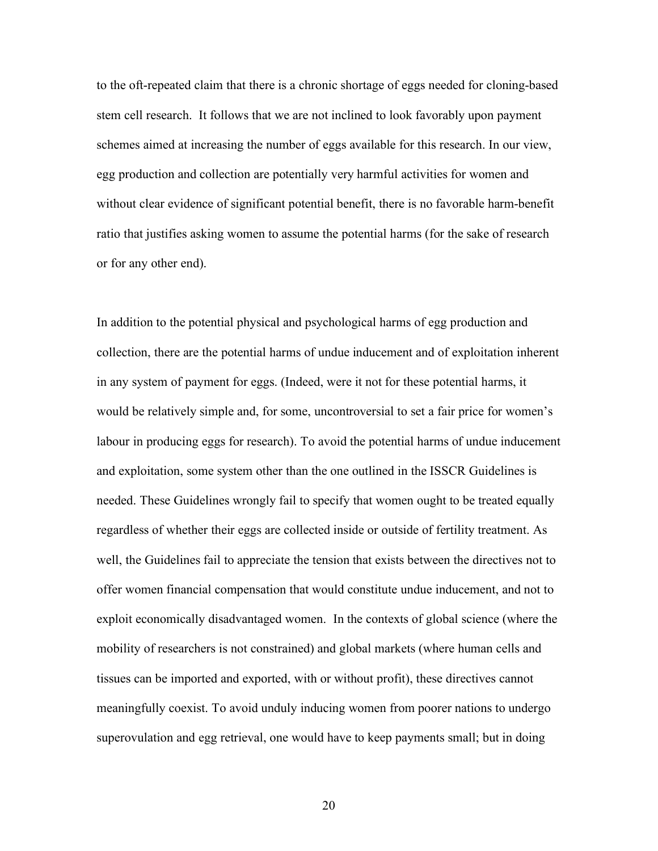to the oft-repeated claim that there is a chronic shortage of eggs needed for cloning-based stem cell research. It follows that we are not inclined to look favorably upon payment schemes aimed at increasing the number of eggs available for this research. In our view, egg production and collection are potentially very harmful activities for women and without clear evidence of significant potential benefit, there is no favorable harm-benefit ratio that justifies asking women to assume the potential harms (for the sake of research or for any other end).

In addition to the potential physical and psychological harms of egg production and collection, there are the potential harms of undue inducement and of exploitation inherent in any system of payment for eggs. (Indeed, were it not for these potential harms, it would be relatively simple and, for some, uncontroversial to set a fair price for women's labour in producing eggs for research). To avoid the potential harms of undue inducement and exploitation, some system other than the one outlined in the ISSCR Guidelines is needed. These Guidelines wrongly fail to specify that women ought to be treated equally regardless of whether their eggs are collected inside or outside of fertility treatment. As well, the Guidelines fail to appreciate the tension that exists between the directives not to offer women financial compensation that would constitute undue inducement, and not to exploit economically disadvantaged women. In the contexts of global science (where the mobility of researchers is not constrained) and global markets (where human cells and tissues can be imported and exported, with or without profit), these directives cannot meaningfully coexist. To avoid unduly inducing women from poorer nations to undergo superovulation and egg retrieval, one would have to keep payments small; but in doing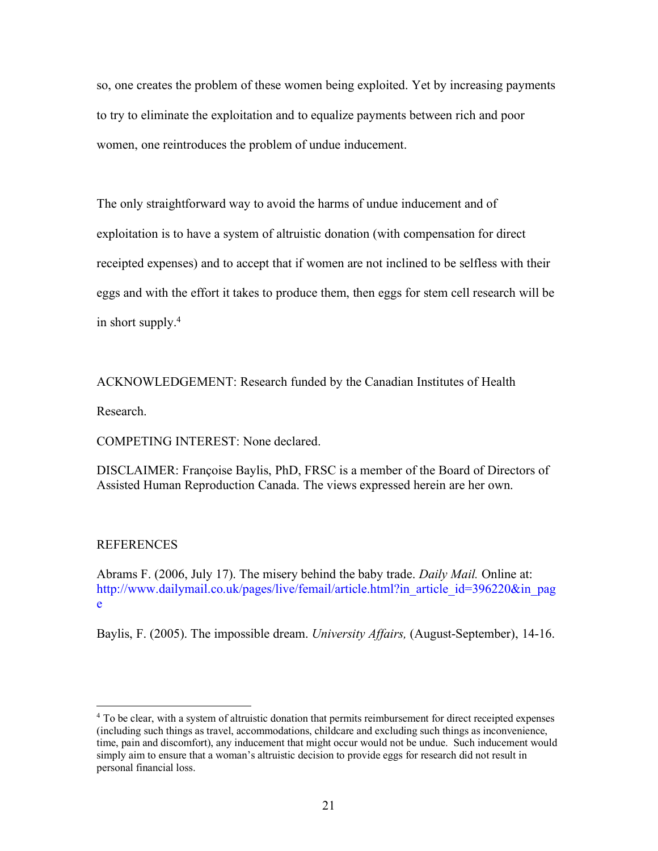so, one creates the problem of these women being exploited. Yet by increasing payments to try to eliminate the exploitation and to equalize payments between rich and poor women, one reintroduces the problem of undue inducement.

The only straightforward way to avoid the harms of undue inducement and of exploitation is to have a system of altruistic donation (with compensation for direct receipted expenses) and to accept that if women are not inclined to be selfless with their eggs and with the effort it takes to produce them, then eggs for stem cell research will be in short supply.4

ACKNOWLEDGEMENT: Research funded by the Canadian Institutes of Health

Research.

COMPETING INTEREST: None declared.

DISCLAIMER: Françoise Baylis, PhD, FRSC is a member of the Board of Directors of Assisted Human Reproduction Canada. The views expressed herein are her own.

#### REFERENCES

Abrams F. (2006, July 17). The misery behind the baby trade. *Daily Mail.* Online at: http://www.dailymail.co.uk/pages/live/femail/article.html?in\_article\_id=396220&in\_pag e

Baylis, F. (2005). The impossible dream. *University Affairs,* (August-September), 14-16.

<sup>&</sup>lt;sup>4</sup> To be clear, with a system of altruistic donation that permits reimbursement for direct receipted expenses (including such things as travel, accommodations, childcare and excluding such things as inconvenience, time, pain and discomfort), any inducement that might occur would not be undue. Such inducement would simply aim to ensure that a woman's altruistic decision to provide eggs for research did not result in personal financial loss.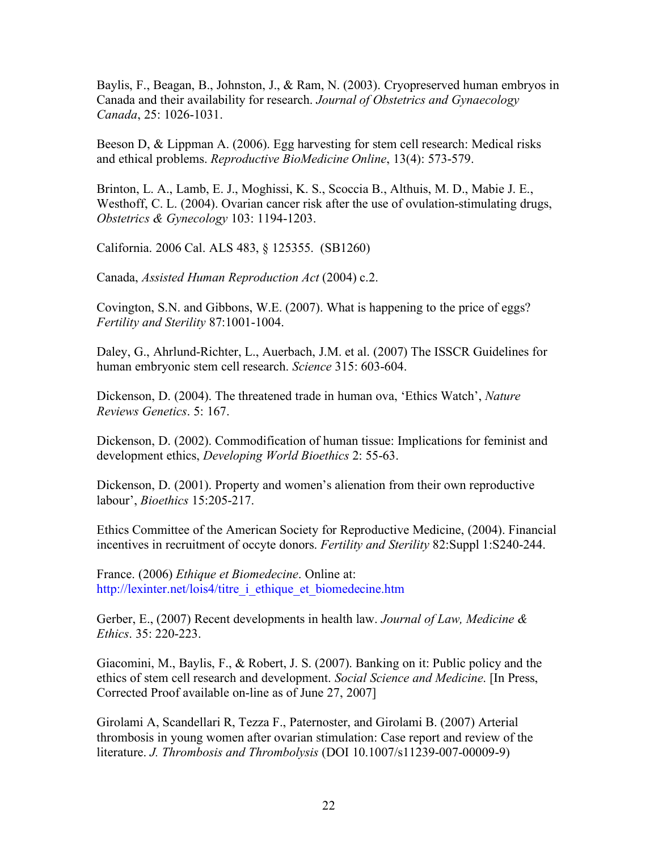Baylis, F., Beagan, B., Johnston, J., & Ram, N. (2003). Cryopreserved human embryos in Canada and their availability for research. *Journal of Obstetrics and Gynaecology Canada*, 25: 1026-1031.

Beeson D, & Lippman A. (2006). Egg harvesting for stem cell research: Medical risks and ethical problems. *Reproductive BioMedicine Online*, 13(4): 573-579.

Brinton, L. A., Lamb, E. J., Moghissi, K. S., Scoccia B., Althuis, M. D., Mabie J. E., Westhoff, C. L. (2004). Ovarian cancer risk after the use of ovulation-stimulating drugs, *Obstetrics & Gynecology* 103: 1194-1203.

California. 2006 Cal. ALS 483, § 125355. (SB1260)

Canada, *Assisted Human Reproduction Act* (2004) c.2.

Covington, S.N. and Gibbons, W.E. (2007). What is happening to the price of eggs? *Fertility and Sterility* 87:1001-1004.

Daley, G., Ahrlund-Richter, L., Auerbach, J.M. et al. (2007) The ISSCR Guidelines for human embryonic stem cell research. *Science* 315: 603-604.

Dickenson, D. (2004). The threatened trade in human ova, 'Ethics Watch', *Nature Reviews Genetics*. 5: 167.

Dickenson, D. (2002). Commodification of human tissue: Implications for feminist and development ethics, *Developing World Bioethics* 2: 55-63.

Dickenson, D. (2001). Property and women's alienation from their own reproductive labour', *Bioethics* 15:205-217.

Ethics Committee of the American Society for Reproductive Medicine, (2004). Financial incentives in recruitment of occyte donors. *Fertility and Sterility* 82:Suppl 1:S240-244.

France. (2006) *Ethique et Biomedecine*. Online at: http://lexinter.net/lois4/titre\_i\_ethique\_et\_biomedecine.htm

Gerber, E., (2007) Recent developments in health law. *Journal of Law, Medicine & Ethics*. 35: 220-223.

Giacomini, M., Baylis, F., & Robert, J. S. (2007). Banking on it: Public policy and the ethics of stem cell research and development. *Social Science and Medicine*. [In Press, Corrected Proof available on-line as of June 27, 2007]

Girolami A, Scandellari R, Tezza F., Paternoster, and Girolami B. (2007) Arterial thrombosis in young women after ovarian stimulation: Case report and review of the literature. *J. Thrombosis and Thrombolysis* (DOI 10.1007/s11239-007-00009-9)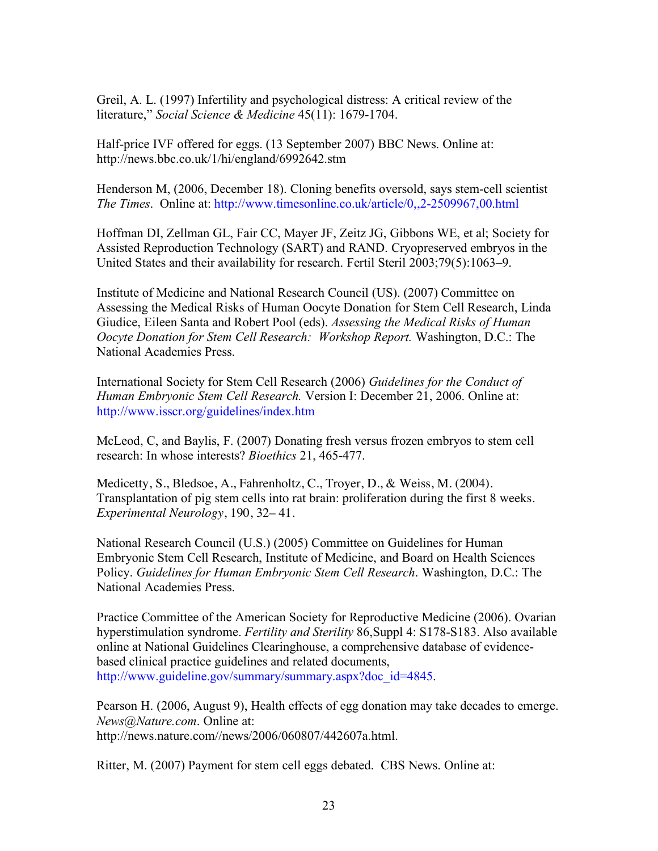Greil, A. L. (1997) Infertility and psychological distress: A critical review of the literature," *Social Science & Medicine* 45(11): 1679-1704.

Half-price IVF offered for eggs. (13 September 2007) BBC News. Online at: http://news.bbc.co.uk/1/hi/england/6992642.stm

Henderson M, (2006, December 18). Cloning benefits oversold, says stem-cell scientist *The Times*. Online at: http://www.timesonline.co.uk/article/0,,2-2509967,00.html

Hoffman DI, Zellman GL, Fair CC, Mayer JF, Zeitz JG, Gibbons WE, et al; Society for Assisted Reproduction Technology (SART) and RAND. Cryopreserved embryos in the United States and their availability for research. Fertil Steril 2003;79(5):1063–9.

Institute of Medicine and National Research Council (US). (2007) Committee on Assessing the Medical Risks of Human Oocyte Donation for Stem Cell Research, Linda Giudice, Eileen Santa and Robert Pool (eds). *Assessing the Medical Risks of Human Oocyte Donation for Stem Cell Research: Workshop Report.* Washington, D.C.: The National Academies Press.

International Society for Stem Cell Research (2006) *Guidelines for the Conduct of Human Embryonic Stem Cell Research.* Version I: December 21, 2006. Online at: http://www.isscr.org/guidelines/index.htm

McLeod, C, and Baylis, F. (2007) Donating fresh versus frozen embryos to stem cell research: In whose interests? *Bioethics* 21, 465-477.

Medicetty, S., Bledsoe, A., Fahrenholtz, C., Troyer, D., & Weiss, M. (2004). Transplantation of pig stem cells into rat brain: proliferation during the first 8 weeks. *Experimental Neurology*, 190, 32– 41.

National Research Council (U.S.) (2005) Committee on Guidelines for Human Embryonic Stem Cell Research, Institute of Medicine, and Board on Health Sciences Policy. *Guidelines for Human Embryonic Stem Cell Research*. Washington, D.C.: The National Academies Press.

Practice Committee of the American Society for Reproductive Medicine (2006). Ovarian hyperstimulation syndrome. *Fertility and Sterility* 86,Suppl 4: S178-S183. Also available online at National Guidelines Clearinghouse, a comprehensive database of evidencebased clinical practice guidelines and related documents, http://www.guideline.gov/summary/summary.aspx?doc\_id=4845.

Pearson H. (2006, August 9), Health effects of egg donation may take decades to emerge. *News@Nature.com*. Online at: http://news.nature.com//news/2006/060807/442607a.html.

Ritter, M. (2007) Payment for stem cell eggs debated. CBS News. Online at: